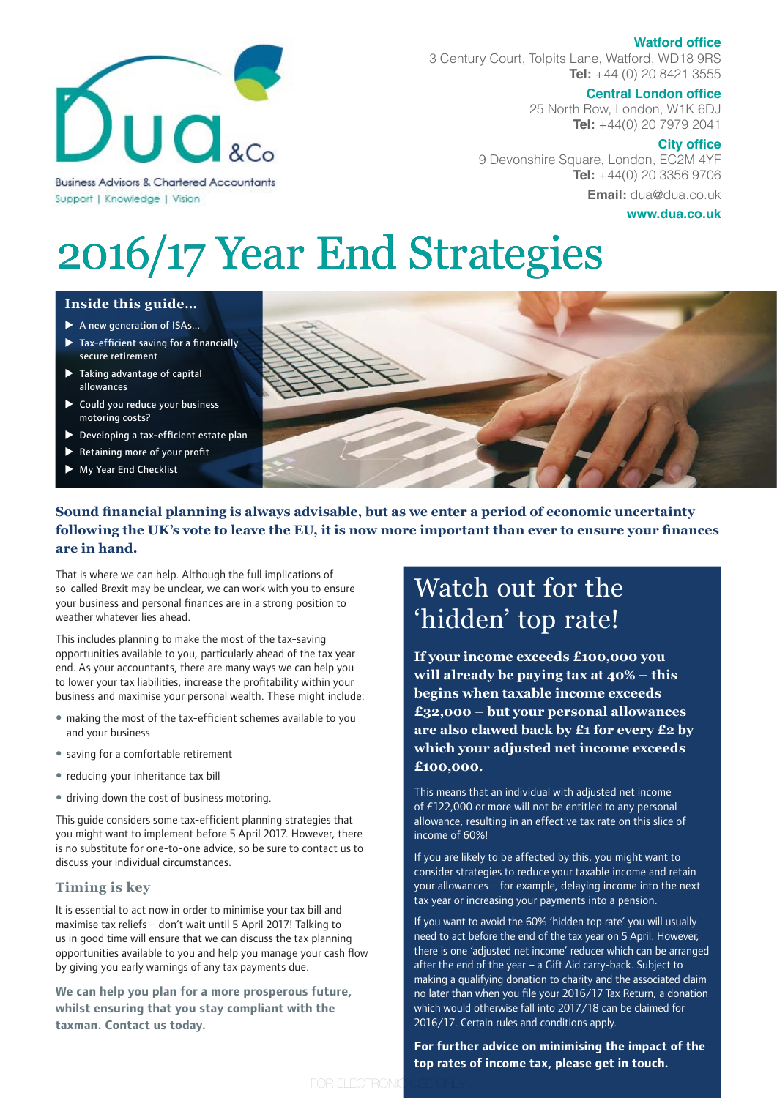### **Watford office**



3 Century Court, Tolpits Lane, Watford, WD18 9RS **Tel:** +44 (0) 20 8421 3555

# **Central London office**

25 North Row, London, W1K 6DJ **Tel:** +44(0) 20 7979 2041

#### **City office**

9 Devonshire Square, London, EC2M 4YF **Tel:** +44(0) 20 3356 9706 **Email:** dua@dua.co.uk

**www.dua.co.uk**

# 2016/17 Year End Strategies

### **Inside this guide… Inside this guide…**

Support | Knowledge | Vision

- $\blacktriangleright$  A new generation of ISAs...
- $\blacktriangleright$  Tax-efficient saving for a financially secure retirement
- $\blacktriangleright$  Taking advantage of capital allowances
- $\triangleright$  Could you reduce your business motoring costs?
- $\blacktriangleright$  Developing a tax-efficient estate plan
- Retaining more of your profit
- **My Year End Checklist**



# **Sound financial planning is always advisable, but as we enter a period of economic uncertainty following the UK's vote to leave the EU, it is now more important than ever to ensure your finances are in hand.**

FOR ELECTRONIC USE ONLY

That is where we can help. Although the full implications of so-called Brexit may be unclear, we can work with you to ensure your business and personal finances are in a strong position to weather whatever lies ahead.

This includes planning to make the most of the tax-saving opportunities available to you, particularly ahead of the tax year end. As your accountants, there are many ways we can help you to lower your tax liabilities, increase the profitability within your business and maximise your personal wealth. These might include:

- making the most of the tax-efficient schemes available to you and your business
- saving for a comfortable retirement
- reducing your inheritance tax bill
- driving down the cost of business motoring.

This guide considers some tax-efficient planning strategies that you might want to implement before 5 April 2017. However, there is no substitute for one-to-one advice, so be sure to contact us to discuss your individual circumstances.

### **Timing is key**

It is essential to act now in order to minimise your tax bill and maximise tax reliefs – don't wait until 5 April 2017! Talking to us in good time will ensure that we can discuss the tax planning opportunities available to you and help you manage your cash flow by giving you early warnings of any tax payments due.

**We can help you plan for a more prosperous future, whilst ensuring that you stay compliant with the taxman. Contact us today.**

# Watch out for the 'hidden' top rate!

**If your income exceeds £100,000 you will already be paying tax at 40% – this begins when taxable income exceeds £32,000 – but your personal allowances are also clawed back by £1 for every £2 by which your adjusted net income exceeds £100,000.** 

This means that an individual with adjusted net income of £122,000 or more will not be entitled to any personal allowance, resulting in an effective tax rate on this slice of income of 60%!

If you are likely to be affected by this, you might want to consider strategies to reduce your taxable income and retain your allowances – for example, delaying income into the next tax year or increasing your payments into a pension.

If you want to avoid the 60% 'hidden top rate' you will usually need to act before the end of the tax year on 5 April. However, there is one 'adjusted net income' reducer which can be arranged after the end of the year – a Gift Aid carry-back. Subject to making a qualifying donation to charity and the associated claim no later than when you file your 2016/17 Tax Return, a donation which would otherwise fall into 2017/18 can be claimed for 2016/17. Certain rules and conditions apply.

**For further advice on minimising the impact of the top rates of income tax, please get in touch.**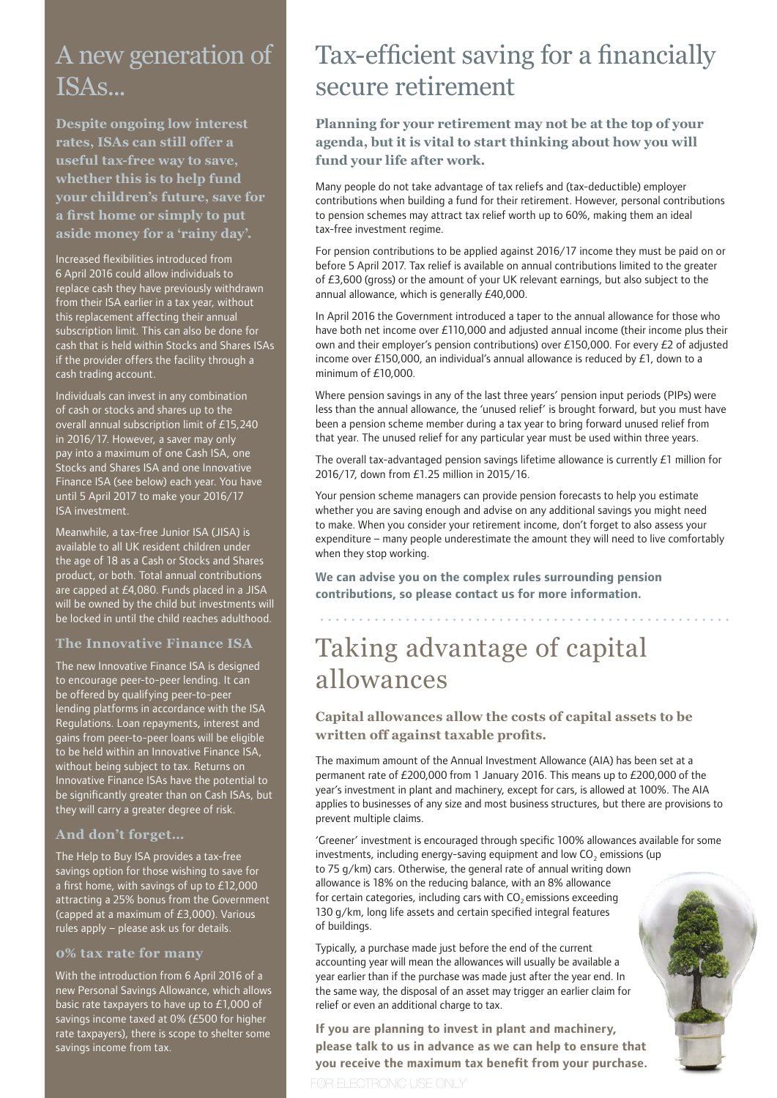# A new generation of ISAs...

**Despite ongoing low interest rates, ISAs can still offer a useful tax-free way to save, whether this is to help fund your children's future, save for a first home or simply to put aside money for a 'rainy day'.** 

Increased flexibilities introduced from 6 April 2016 could allow individuals to replace cash they have previously withdrawn from their ISA earlier in a tax year, without this replacement affecting their annual subscription limit. This can also be done for cash that is held within Stocks and Shares ISAs if the provider offers the facility through a cash trading account.

Individuals can invest in any combination of cash or stocks and shares up to the overall annual subscription limit of £15,240 in 2016/17. However, a saver may only pay into a maximum of one Cash ISA, one Stocks and Shares ISA and one Innovative Finance ISA (see below) each year. You have until 5 April 2017 to make your 2016/17 ISA investment.

Meanwhile, a tax-free Junior ISA (JISA) is available to all UK resident children under the age of 18 as a Cash or Stocks and Shares product, or both. Total annual contributions are capped at £4,080. Funds placed in a JISA will be owned by the child but investments will be locked in until the child reaches adulthood.

# **The Innovative Finance ISA**

The new Innovative Finance ISA is designed to encourage peer-to-peer lending. It can be offered by qualifying peer-to-peer lending platforms in accordance with the ISA Regulations. Loan repayments, interest and gains from peer-to-peer loans will be eligible to be held within an Innovative Finance ISA, without being subject to tax. Returns on Innovative Finance ISAs have the potential to be significantly greater than on Cash ISAs, but they will carry a greater degree of risk.

### **And don't forget…**

The Help to Buy ISA provides a tax-free savings option for those wishing to save for a first home, with savings of up to £12,000 attracting a 25% bonus from the Government (capped at a maximum of £3,000). Various rules apply – please ask us for details.

### **0% tax rate for many**

With the introduction from 6 April 2016 of a new Personal Savings Allowance, which allows basic rate taxpayers to have up to £1,000 of savings income taxed at 0% (£500 for higher rate taxpayers), there is scope to shelter some savings income from tax.

# Tax-efficient saving for a financially secure retirement

**Planning for your retirement may not be at the top of your agenda, but it is vital to start thinking about how you will fund your life after work.**

Many people do not take advantage of tax reliefs and (tax-deductible) employer contributions when building a fund for their retirement. However, personal contributions to pension schemes may attract tax relief worth up to 60%, making them an ideal tax-free investment regime.

For pension contributions to be applied against 2016/17 income they must be paid on or before 5 April 2017. Tax relief is available on annual contributions limited to the greater of £3,600 (gross) or the amount of your UK relevant earnings, but also subject to the annual allowance, which is generally £40,000.

In April 2016 the Government introduced a taper to the annual allowance for those who have both net income over £110,000 and adjusted annual income (their income plus their own and their employer's pension contributions) over £150,000. For every £2 of adjusted income over £150,000, an individual's annual allowance is reduced by  $£1$ , down to a minimum of £10,000.

Where pension savings in any of the last three years' pension input periods (PIPs) were less than the annual allowance, the 'unused relief' is brought forward, but you must have been a pension scheme member during a tax year to bring forward unused relief from that year. The unused relief for any particular year must be used within three years.

The overall tax-advantaged pension savings lifetime allowance is currently £1 million for 2016/17, down from £1.25 million in 2015/16.

Your pension scheme managers can provide pension forecasts to help you estimate whether you are saving enough and advise on any additional savings you might need to make. When you consider your retirement income, don't forget to also assess your expenditure – many people underestimate the amount they will need to live comfortably when they stop working.

**We can advise you on the complex rules surrounding pension contributions, so please contact us for more information.** 

# Taking advantage of capital allowances

# **Capital allowances allow the costs of capital assets to be written off against taxable profits.**

The maximum amount of the Annual Investment Allowance (AIA) has been set at a permanent rate of £200,000 from 1 January 2016. This means up to £200,000 of the year's investment in plant and machinery, except for cars, is allowed at 100%. The AIA applies to businesses of any size and most business structures, but there are provisions to prevent multiple claims.

'Greener' investment is encouraged through specific 100% allowances available for some investments, including energy-saving equipment and low  $CO<sub>2</sub>$  emissions (up to 75 g/km) cars. Otherwise, the general rate of annual writing down allowance is 18% on the reducing balance, with an 8% allowance for certain categories, including cars with  $CO<sub>2</sub>$  emissions exceeding 130 g/km, long life assets and certain specified integral features of buildings.

Typically, a purchase made just before the end of the current accounting year will mean the allowances will usually be available a year earlier than if the purchase was made just after the year end. In the same way, the disposal of an asset may trigger an earlier claim for relief or even an additional charge to tax.

**If you are planning to invest in plant and machinery, please talk to us in advance as we can help to ensure that you receive the maximum tax benefit from your purchase.**

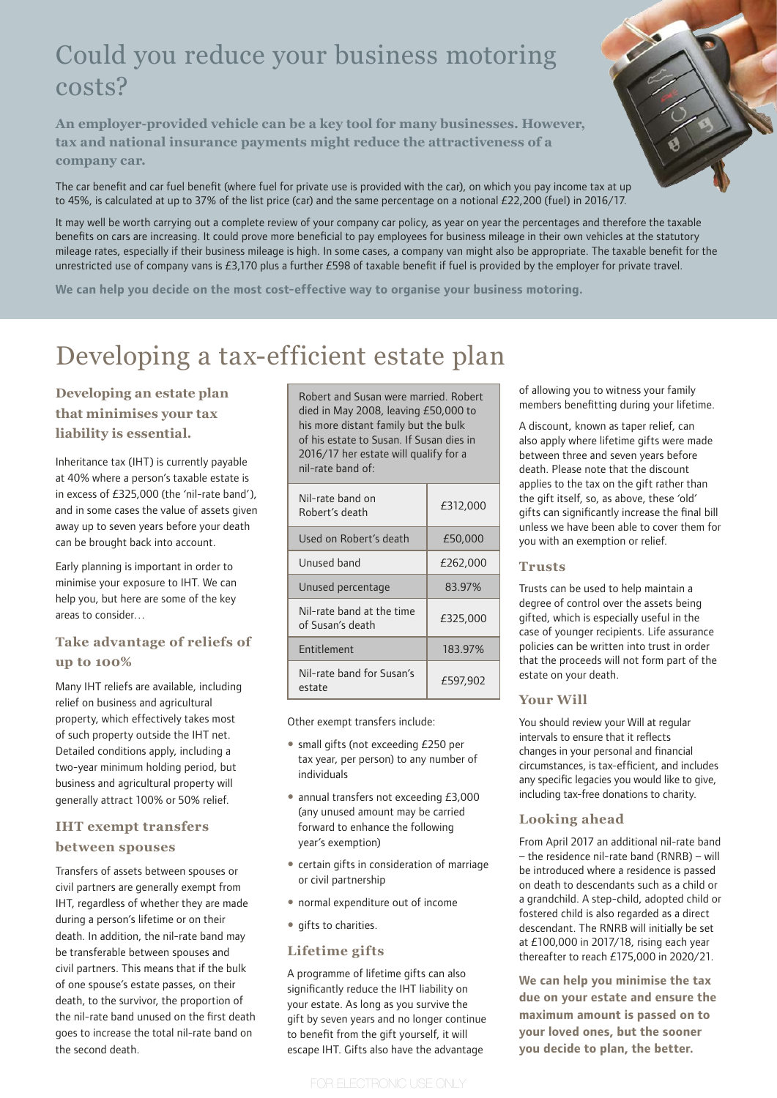# Could you reduce your business motoring costs?

**An employer-provided vehicle can be a key tool for many businesses. However, tax and national insurance payments might reduce the attractiveness of a company car.** 

The car benefit and car fuel benefit (where fuel for private use is provided with the car), on which you pay income tax at up to 45%, is calculated at up to 37% of the list price (car) and the same percentage on a notional £22,200 (fuel) in 2016/17.

It may well be worth carrying out a complete review of your company car policy, as year on year the percentages and therefore the taxable benefits on cars are increasing. It could prove more beneficial to pay employees for business mileage in their own vehicles at the statutory mileage rates, especially if their business mileage is high. In some cases, a company van might also be appropriate. The taxable benefit for the unrestricted use of company vans is £3,170 plus a further £598 of taxable benefit if fuel is provided by the employer for private travel.

**We can help you decide on the most cost-effective way to organise your business motoring.**

# Developing a tax-efficient estate plan

# **Developing an estate plan that minimises your tax liability is essential.**

Inheritance tax (IHT) is currently payable at 40% where a person's taxable estate is in excess of £325,000 (the 'nil-rate band'), and in some cases the value of assets given away up to seven years before your death can be brought back into account.

Early planning is important in order to minimise your exposure to IHT. We can help you, but here are some of the key areas to consider…

# **Take advantage of reliefs of up to 100%**

Many IHT reliefs are available, including relief on business and agricultural property, which effectively takes most of such property outside the IHT net. Detailed conditions apply, including a two-year minimum holding period, but business and agricultural property will generally attract 100% or 50% relief.

# **IHT exempt transfers**

### **between spouses**

Transfers of assets between spouses or civil partners are generally exempt from IHT, regardless of whether they are made during a person's lifetime or on their death. In addition, the nil-rate band may be transferable between spouses and civil partners. This means that if the bulk of one spouse's estate passes, on their death, to the survivor, the proportion of the nil-rate band unused on the first death goes to increase the total nil-rate band on the second death.

Robert and Susan were married. Robert died in May 2008, leaving £50,000 to his more distant family but the bulk of his estate to Susan. If Susan dies in 2016/17 her estate will qualify for a nil-rate band of:

| Nil-rate band on<br>Robert's death            | £312,000 |
|-----------------------------------------------|----------|
| Used on Robert's death                        | £50,000  |
| Unused band                                   | £262,000 |
| Unused percentage                             | 83.97%   |
| Nil-rate band at the time<br>of Susan's death | £325,000 |
| <b>Fntitlement</b>                            | 183.97%  |
| Nil-rate band for Susan's<br>estate           | £597.902 |

Other exempt transfers include:

- small gifts (not exceeding £250 per tax year, per person) to any number of individuals
- annual transfers not exceeding £3,000 (any unused amount may be carried forward to enhance the following year's exemption)
- certain gifts in consideration of marriage or civil partnership
- normal expenditure out of income
- qifts to charities.

### **Lifetime gifts**

A programme of lifetime gifts can also significantly reduce the IHT liability on your estate. As long as you survive the gift by seven years and no longer continue to benefit from the gift yourself, it will escape IHT. Gifts also have the advantage

of allowing you to witness your family members benefitting during your lifetime.

A discount, known as taper relief, can also apply where lifetime gifts were made between three and seven years before death. Please note that the discount applies to the tax on the gift rather than the gift itself, so, as above, these 'old' gifts can significantly increase the final bill unless we have been able to cover them for you with an exemption or relief.

### **Trusts**

Trusts can be used to help maintain a degree of control over the assets being gifted, which is especially useful in the case of younger recipients. Life assurance policies can be written into trust in order that the proceeds will not form part of the estate on your death.

### **Your Will**

You should review your Will at regular intervals to ensure that it reflects changes in your personal and financial circumstances, is tax-efficient, and includes any specific legacies you would like to give, including tax-free donations to charity.

### **Looking ahead**

From April 2017 an additional nil-rate band – the residence nil-rate band (RNRB) – will be introduced where a residence is passed on death to descendants such as a child or a grandchild. A step-child, adopted child or fostered child is also regarded as a direct descendant. The RNRB will initially be set at £100,000 in 2017/18, rising each year thereafter to reach £175,000 in 2020/21.

**We can help you minimise the tax due on your estate and ensure the maximum amount is passed on to your loved ones, but the sooner you decide to plan, the better.**